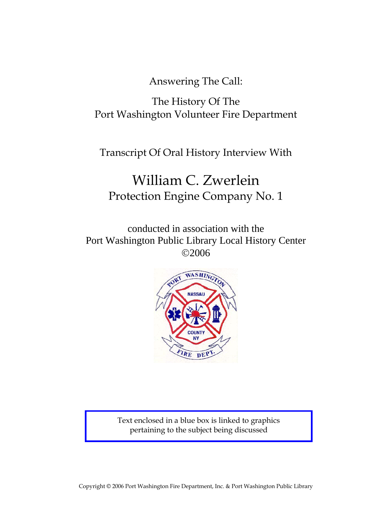Answering The Call:

The History Of The Port Washington Volunteer Fire Department

Transcript Of Oral History Interview With

# William C. Zwerlein Protection Engine Company No. 1

conducted in association with the Port Washington Public Library Local History Center ©2006



Text enclosed in a blue box is linked to graphics pertaining to the subject being discussed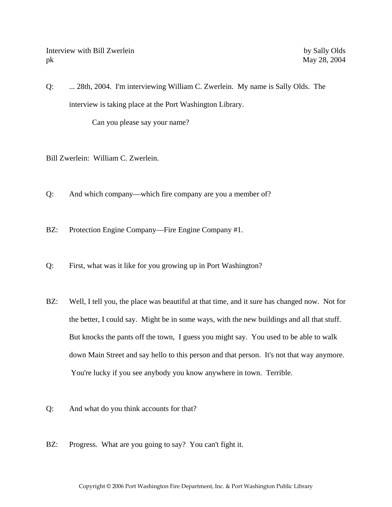Interview with Bill Zwerlein by Sally Olds pk May 28, 2004

Q: ... 28th, 2004. I'm interviewing William C. Zwerlein. My name is Sally Olds. The interview is taking place at the Port Washington Library.

Can you please say your name?

- Bill Zwerlein: William C. Zwerlein.
- Q: And which company—which fire company are you a member of?

BZ: Protection Engine Company—Fire Engine Company #1.

- Q: First, what was it like for you growing up in Port Washington?
- BZ: Well, I tell you, the place was beautiful at that time, and it sure has changed now. Not for the better, I could say. Might be in some ways, with the new buildings and all that stuff. But knocks the pants off the town, I guess you might say. You used to be able to walk down Main Street and say hello to this person and that person. It's not that way anymore. You're lucky if you see anybody you know anywhere in town. Terrible.
- Q: And what do you think accounts for that?
- BZ: Progress. What are you going to say? You can't fight it.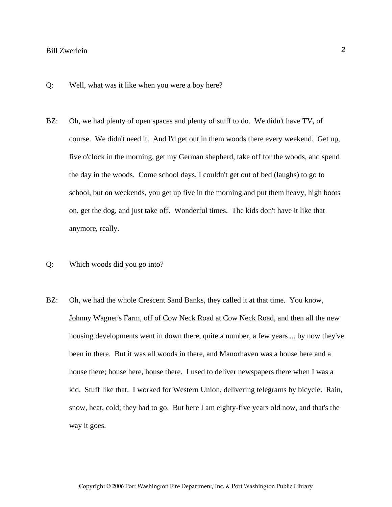- Q: Well, what was it like when you were a boy here?
- BZ: Oh, we had plenty of open spaces and plenty of stuff to do. We didn't have TV, of course. We didn't need it. And I'd get out in them woods there every weekend. Get up, five o'clock in the morning, get my German shepherd, take off for the woods, and spend the day in the woods. Come school days, I couldn't get out of bed (laughs) to go to school, but on weekends, you get up five in the morning and put them heavy, high boots on, get the dog, and just take off. Wonderful times. The kids don't have it like that anymore, really.
- Q: Which woods did you go into?
- BZ: Oh, we had the whole Crescent Sand Banks, they called it at that time. You know, Johnny Wagner's Farm, off of Cow Neck Road at Cow Neck Road, and then all the new housing developments went in down there, quite a number, a few years ... by now they've been in there. But it was all woods in there, and Manorhaven was a house here and a house there; house here, house there. I used to deliver newspapers there when I was a kid. Stuff like that. I worked for Western Union, delivering telegrams by bicycle. Rain, snow, heat, cold; they had to go. But here I am eighty-five years old now, and that's the way it goes.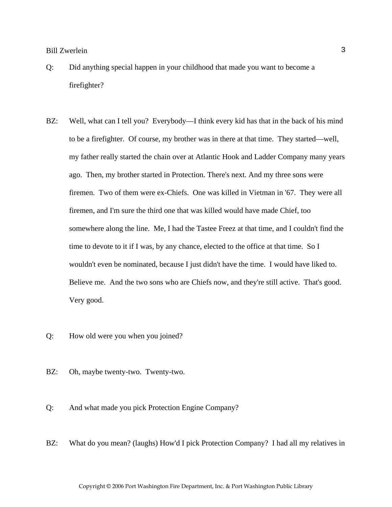- Q: Did anything special happen in your childhood that made you want to become a firefighter?
- BZ: Well, what can I tell you? Everybody—I think every kid has that in the back of his mind to be a firefighter. Of course, my brother was in there at that time. They started—well, my father really started the chain over at Atlantic Hook and Ladder Company many years ago. Then, my brother started in Protection. There's next. And my three sons were firemen. Two of them were ex-Chiefs. One was killed in Vietman in '67. They were all firemen, and I'm sure the third one that was killed would have made Chief, too somewhere along the line. Me, I had the Tastee Freez at that time, and I couldn't find the time to devote to it if I was, by any chance, elected to the office at that time. So I wouldn't even be nominated, because I just didn't have the time. I would have liked to. Believe me. And the two sons who are Chiefs now, and they're still active. That's good. Very good.
- Q: How old were you when you joined?
- BZ: Oh, maybe twenty-two. Twenty-two.
- Q: And what made you pick Protection Engine Company?
- BZ: What do you mean? (laughs) How'd I pick Protection Company? I had all my relatives in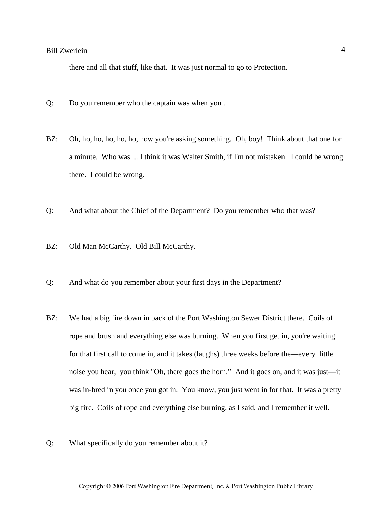there and all that stuff, like that. It was just normal to go to Protection.

- Q: Do you remember who the captain was when you ...
- BZ: Oh, ho, ho, ho, ho, ho, now you're asking something. Oh, boy! Think about that one for a minute. Who was ... I think it was Walter Smith, if I'm not mistaken. I could be wrong there. I could be wrong.
- Q: And what about the Chief of the Department? Do you remember who that was?
- BZ: Old Man McCarthy. Old Bill McCarthy.
- Q: And what do you remember about your first days in the Department?
- BZ: We had a big fire down in back of the Port Washington Sewer District there. Coils of rope and brush and everything else was burning. When you first get in, you're waiting for that first call to come in, and it takes (laughs) three weeks before the—every little noise you hear, you think "Oh, there goes the horn." And it goes on, and it was just—it was in-bred in you once you got in. You know, you just went in for that. It was a pretty big fire. Coils of rope and everything else burning, as I said, and I remember it well.
- Q: What specifically do you remember about it?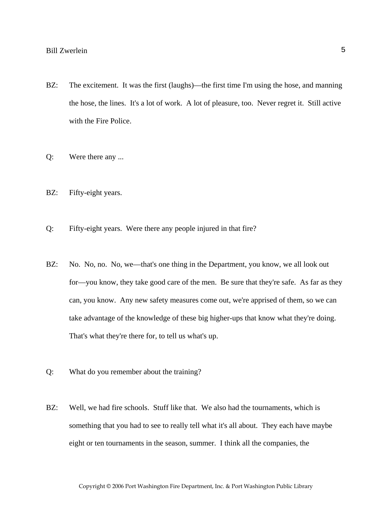- BZ: The excitement. It was the first (laughs)—the first time I'm using the hose, and manning the hose, the lines. It's a lot of work. A lot of pleasure, too. Never regret it. Still active with the Fire Police.
- Q: Were there any ...
- BZ: Fifty-eight years.
- Q: Fifty-eight years. Were there any people injured in that fire?
- BZ: No. No, no. No, we—that's one thing in the Department, you know, we all look out for—you know, they take good care of the men. Be sure that they're safe. As far as they can, you know. Any new safety measures come out, we're apprised of them, so we can take advantage of the knowledge of these big higher-ups that know what they're doing. That's what they're there for, to tell us what's up.
- Q: What do you remember about the training?
- BZ: Well, we had fire schools. Stuff like that. We also had the tournaments, which is something that you had to see to really tell what it's all about. They each have maybe eight or ten tournaments in the season, summer. I think all the companies, the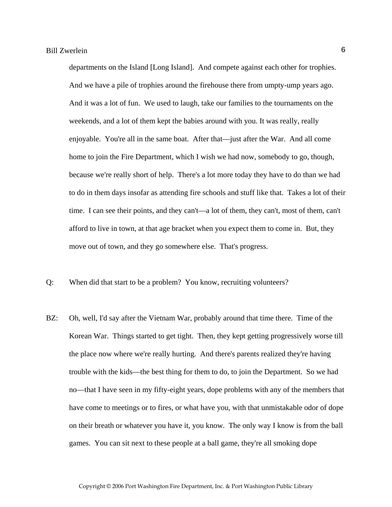departments on the Island [Long Island]. And compete against each other for trophies. And we have a pile of trophies around the firehouse there from umpty-ump years ago. And it was a lot of fun. We used to laugh, take our families to the tournaments on the weekends, and a lot of them kept the babies around with you. It was really, really enjoyable. You're all in the same boat. After that—just after the War. And all come home to join the Fire Department, which I wish we had now, somebody to go, though, because we're really short of help. There's a lot more today they have to do than we had to do in them days insofar as attending fire schools and stuff like that. Takes a lot of their time. I can see their points, and they can't—a lot of them, they can't, most of them, can't afford to live in town, at that age bracket when you expect them to come in. But, they move out of town, and they go somewhere else. That's progress.

- Q: When did that start to be a problem? You know, recruiting volunteers?
- BZ: Oh, well, I'd say after the Vietnam War, probably around that time there. Time of the Korean War. Things started to get tight. Then, they kept getting progressively worse till the place now where we're really hurting. And there's parents realized they're having trouble with the kids—the best thing for them to do, to join the Department. So we had no—that I have seen in my fifty-eight years, dope problems with any of the members that have come to meetings or to fires, or what have you, with that unmistakable odor of dope on their breath or whatever you have it, you know. The only way I know is from the ball games. You can sit next to these people at a ball game, they're all smoking dope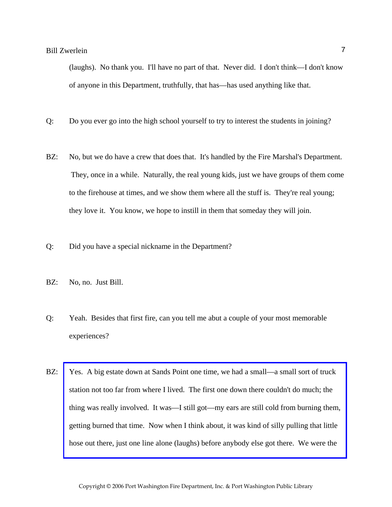(laughs). No thank you. I'll have no part of that. Never did. I don't think—I don't know of anyone in this Department, truthfully, that has—has used anything like that.

- Q: Do you ever go into the high school yourself to try to interest the students in joining?
- BZ: No, but we do have a crew that does that. It's handled by the Fire Marshal's Department. They, once in a while. Naturally, the real young kids, just we have groups of them come to the firehouse at times, and we show them where all the stuff is. They're real young; they love it. You know, we hope to instill in them that someday they will join.
- Q: Did you have a special nickname in the Department?
- BZ: No, no. Just Bill.
- Q: Yeah. Besides that first fire, can you tell me abut a couple of your most memorable experiences?
- BZ: Yes. A big estate down at Sands Point one time, we had a small—a small sort of truck station not too far from where I lived. The first one down there couldn't do much; the thing was really involved. It was—I still got—my ears are still cold from burning them, getting burned that time. Now when I think about, it was kind of silly pulling that little hose out there, just one line alone (laughs) before anybody else got there. We were the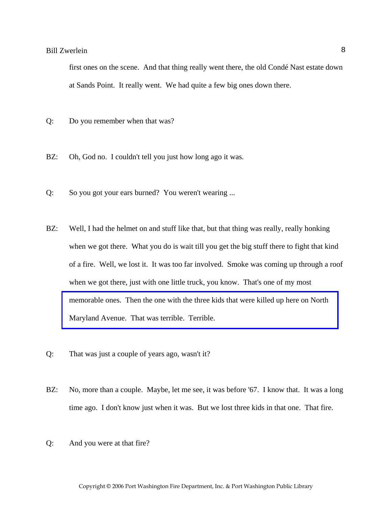first ones on the scene. And that thing really went there, the old Condé Nast estate down at Sands Point. It really went. We had quite a few big ones down there.

- Q: Do you remember when that was?
- BZ: Oh, God no. I couldn't tell you just how long ago it was.
- Q: So you got your ears burned? You weren't wearing ...
- BZ: Well, I had the helmet on and stuff like that, but that thing was really, really honking when we got there. What you do is wait till you get the big stuff there to fight that kind of a fire. Well, we lost it. It was too far involved. Smoke was coming up through a roof when we got there, just with one little truck, you know. That's one of my most [memorable ones. Then the one with the three kids that were killed up here on North](http://www.pwfdhistory.com/trans/zwerleinwc_trans/pwfd_news041a.pdf)  Maryland Avenue. That was terrible. Terrible.
- Q: That was just a couple of years ago, wasn't it?
- BZ: No, more than a couple. Maybe, let me see, it was before '67. I know that. It was a long time ago. I don't know just when it was. But we lost three kids in that one. That fire.
- Q: And you were at that fire?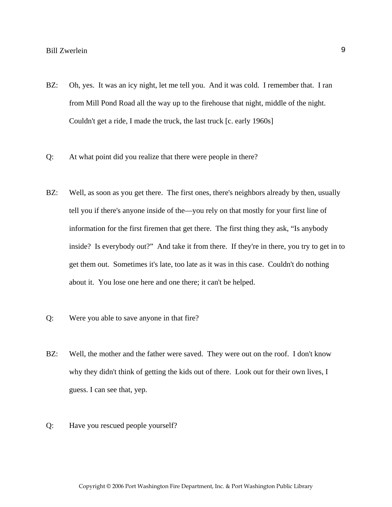- BZ: Oh, yes. It was an icy night, let me tell you. And it was cold. I remember that. I ran from Mill Pond Road all the way up to the firehouse that night, middle of the night. Couldn't get a ride, I made the truck, the last truck [c. early 1960s]
- Q: At what point did you realize that there were people in there?
- BZ: Well, as soon as you get there. The first ones, there's neighbors already by then, usually tell you if there's anyone inside of the—you rely on that mostly for your first line of information for the first firemen that get there. The first thing they ask, "Is anybody inside? Is everybody out?" And take it from there. If they're in there, you try to get in to get them out. Sometimes it's late, too late as it was in this case. Couldn't do nothing about it. You lose one here and one there; it can't be helped.
- Q: Were you able to save anyone in that fire?
- BZ: Well, the mother and the father were saved. They were out on the roof. I don't know why they didn't think of getting the kids out of there. Look out for their own lives, I guess. I can see that, yep.
- Q: Have you rescued people yourself?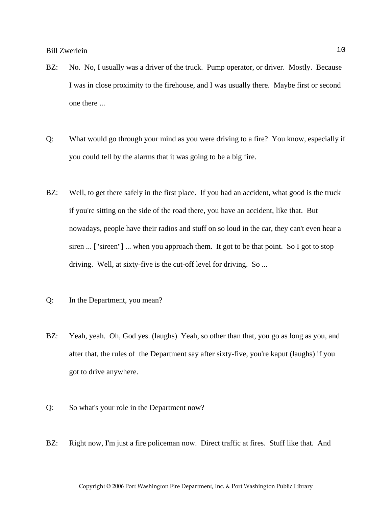- BZ: No. No, I usually was a driver of the truck. Pump operator, or driver. Mostly. Because I was in close proximity to the firehouse, and I was usually there. Maybe first or second one there ...
- Q: What would go through your mind as you were driving to a fire? You know, especially if you could tell by the alarms that it was going to be a big fire.
- BZ: Well, to get there safely in the first place. If you had an accident, what good is the truck if you're sitting on the side of the road there, you have an accident, like that. But nowadays, people have their radios and stuff on so loud in the car, they can't even hear a siren ... ["sireen"] ... when you approach them. It got to be that point. So I got to stop driving. Well, at sixty-five is the cut-off level for driving. So ...
- Q: In the Department, you mean?
- BZ: Yeah, yeah. Oh, God yes. (laughs) Yeah, so other than that, you go as long as you, and after that, the rules of the Department say after sixty-five, you're kaput (laughs) if you got to drive anywhere.
- Q: So what's your role in the Department now?
- BZ: Right now, I'm just a fire policeman now. Direct traffic at fires. Stuff like that. And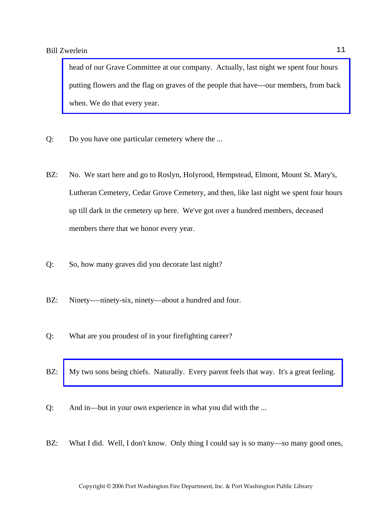head of our Grave Committee at our company. Actually, last night we spent four hours [putting flowers and the flag on graves of the people that have---our members, from back](http://www.pwfdhistory.com/trans/zwerleinwc_trans/peco_members048_web.jpg)  when. We do that every year.

- Q: Do you have one particular cemetery where the ...
- BZ: No. We start here and go to Roslyn, Holyrood, Hempstead, Elmont, Mount St. Mary's, Lutheran Cemetery, Cedar Grove Cemetery, and then, like last night we spent four hours up till dark in the cemetery up here. We've got over a hundred members, deceased members there that we honor every year.
- Q: So, how many graves did you decorate last night?
- BZ: Ninety-—ninety-six, ninety—about a hundred and four.
- Q: What are you proudest of in your firefighting career?
- BZ: My two sons being chiefs. Naturally. Every parent feels that way. It's a great feeling.
- Q: And in—but in your own experience in what you did with the ...
- BZ: What I did. Well, I don't know. Only thing I could say is so many—so many good ones,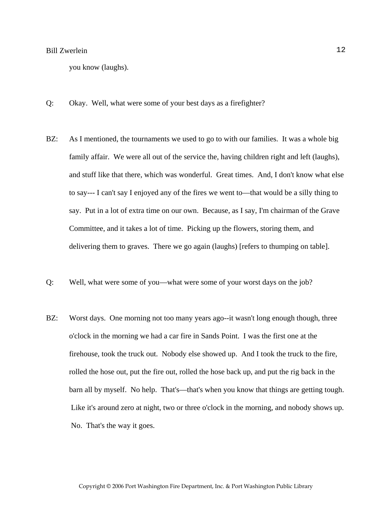you know (laughs).

- Q: Okay. Well, what were some of your best days as a firefighter?
- BZ: As I mentioned, the tournaments we used to go to with our families. It was a whole big family affair. We were all out of the service the, having children right and left (laughs), and stuff like that there, which was wonderful. Great times. And, I don't know what else to say--- I can't say I enjoyed any of the fires we went to—that would be a silly thing to say. Put in a lot of extra time on our own. Because, as I say, I'm chairman of the Grave Committee, and it takes a lot of time. Picking up the flowers, storing them, and delivering them to graves. There we go again (laughs) [refers to thumping on table].
- Q: Well, what were some of you—what were some of your worst days on the job?
- BZ: Worst days. One morning not too many years ago--it wasn't long enough though, three o'clock in the morning we had a car fire in Sands Point. I was the first one at the firehouse, took the truck out. Nobody else showed up. And I took the truck to the fire, rolled the hose out, put the fire out, rolled the hose back up, and put the rig back in the barn all by myself. No help. That's—that's when you know that things are getting tough. Like it's around zero at night, two or three o'clock in the morning, and nobody shows up. No. That's the way it goes.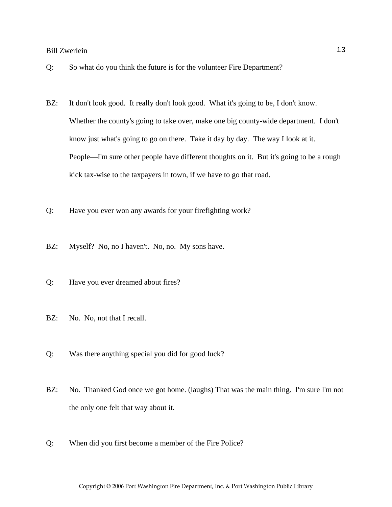- Q: So what do you think the future is for the volunteer Fire Department?
- BZ: It don't look good. It really don't look good. What it's going to be, I don't know. Whether the county's going to take over, make one big county-wide department. I don't know just what's going to go on there. Take it day by day. The way I look at it. People—I'm sure other people have different thoughts on it. But it's going to be a rough kick tax-wise to the taxpayers in town, if we have to go that road.
- Q: Have you ever won any awards for your firefighting work?
- BZ: Myself? No, no I haven't. No, no. My sons have.
- Q: Have you ever dreamed about fires?
- BZ: No. No, not that I recall.
- Q: Was there anything special you did for good luck?
- BZ: No. Thanked God once we got home. (laughs) That was the main thing. I'm sure I'm not the only one felt that way about it.
- Q: When did you first become a member of the Fire Police?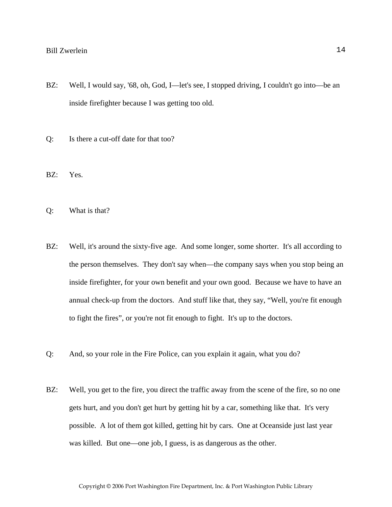- BZ: Well, I would say, '68, oh, God, I—let's see, I stopped driving, I couldn't go into—be an inside firefighter because I was getting too old.
- Q: Is there a cut-off date for that too?
- BZ: Yes.
- Q: What is that?
- BZ: Well, it's around the sixty-five age. And some longer, some shorter. It's all according to the person themselves. They don't say when—the company says when you stop being an inside firefighter, for your own benefit and your own good. Because we have to have an annual check-up from the doctors. And stuff like that, they say, "Well, you're fit enough to fight the fires", or you're not fit enough to fight. It's up to the doctors.
- Q: And, so your role in the Fire Police, can you explain it again, what you do?
- BZ: Well, you get to the fire, you direct the traffic away from the scene of the fire, so no one gets hurt, and you don't get hurt by getting hit by a car, something like that. It's very possible. A lot of them got killed, getting hit by cars. One at Oceanside just last year was killed. But one—one job, I guess, is as dangerous as the other.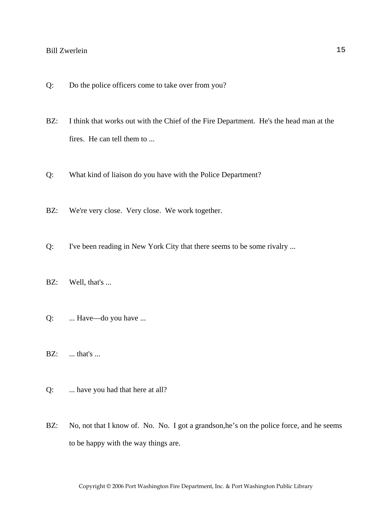- Q: Do the police officers come to take over from you?
- BZ: I think that works out with the Chief of the Fire Department. He's the head man at the fires. He can tell them to ...
- Q: What kind of liaison do you have with the Police Department?
- BZ: We're very close. Very close. We work together.
- Q: I've been reading in New York City that there seems to be some rivalry ...
- BZ: Well, that's ...
- Q: ... Have—do you have ...
- **BZ:** ... that's ...
- Q: ... have you had that here at all?
- BZ: No, not that I know of. No. No. I got a grandson, he's on the police force, and he seems to be happy with the way things are.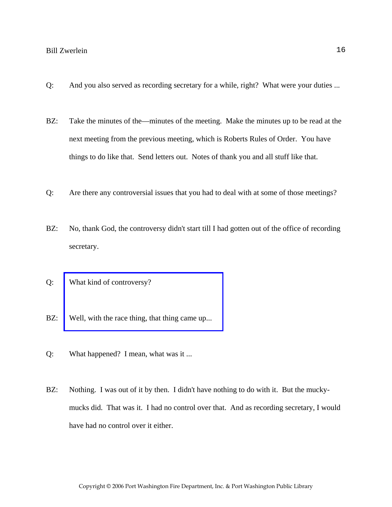- Q: And you also served as recording secretary for a while, right? What were your duties ...
- BZ: Take the minutes of the—minutes of the meeting. Make the minutes up to be read at the next meeting from the previous meeting, which is Roberts Rules of Order. You have things to do like that. Send letters out. Notes of thank you and all stuff like that.
- Q: Are there any controversial issues that you had to deal with at some of those meetings?
- BZ: No, thank God, the controversy didn't start till I had gotten out of the office of recording secretary.
- Q: What kind of controversy?
- BZ: Well, with the race thing, that thing came up...
- Q: What happened? I mean, what was it ...
- BZ: Nothing. I was out of it by then. I didn't have nothing to do with it. But the muckymucks did. That was it. I had no control over that. And as recording secretary, I would have had no control over it either.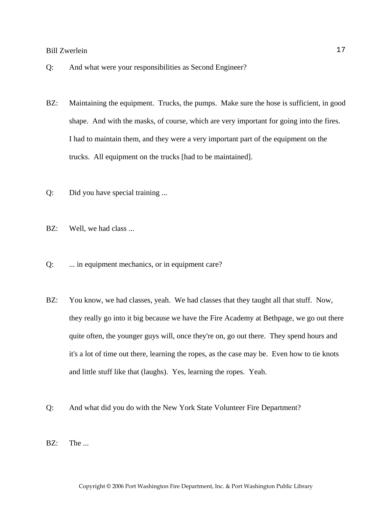- Q: And what were your responsibilities as Second Engineer?
- BZ: Maintaining the equipment. Trucks, the pumps. Make sure the hose is sufficient, in good shape. And with the masks, of course, which are very important for going into the fires. I had to maintain them, and they were a very important part of the equipment on the trucks. All equipment on the trucks [had to be maintained].
- Q: Did you have special training ...
- BZ: Well, we had class ...
- Q: ... in equipment mechanics, or in equipment care?
- BZ: You know, we had classes, yeah. We had classes that they taught all that stuff. Now, they really go into it big because we have the Fire Academy at Bethpage, we go out there quite often, the younger guys will, once they're on, go out there. They spend hours and it's a lot of time out there, learning the ropes, as the case may be. Even how to tie knots and little stuff like that (laughs). Yes, learning the ropes. Yeah.
- Q: And what did you do with the New York State Volunteer Fire Department?
- BZ: The ...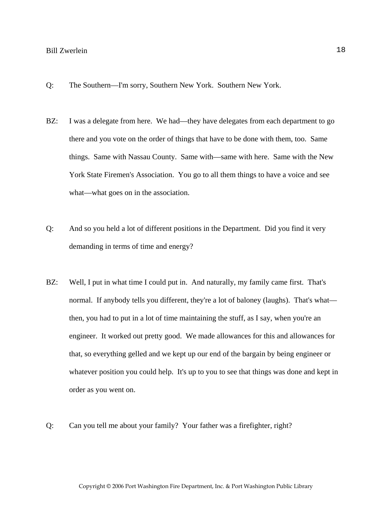- Q: The Southern—I'm sorry, Southern New York. Southern New York.
- BZ: I was a delegate from here. We had—they have delegates from each department to go there and you vote on the order of things that have to be done with them, too. Same things. Same with Nassau County. Same with—same with here. Same with the New York State Firemen's Association. You go to all them things to have a voice and see what—what goes on in the association.
- Q: And so you held a lot of different positions in the Department. Did you find it very demanding in terms of time and energy?
- BZ: Well, I put in what time I could put in. And naturally, my family came first. That's normal. If anybody tells you different, they're a lot of baloney (laughs). That's what then, you had to put in a lot of time maintaining the stuff, as I say, when you're an engineer. It worked out pretty good. We made allowances for this and allowances for that, so everything gelled and we kept up our end of the bargain by being engineer or whatever position you could help. It's up to you to see that things was done and kept in order as you went on.
- Q: Can you tell me about your family? Your father was a firefighter, right?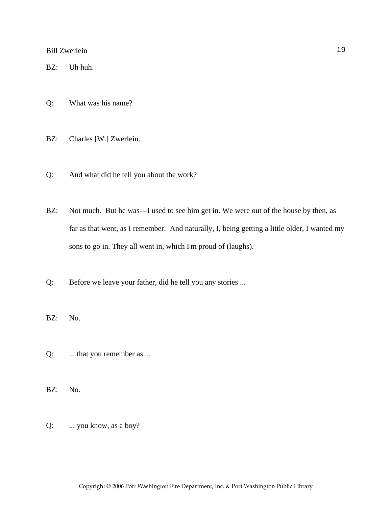BZ: Uh huh.

- Q: What was his name?
- BZ: Charles [W.] Zwerlein.
- Q: And what did he tell you about the work?
- BZ: Not much. But he was—I used to see him get in. We were out of the house by then, as far as that went, as I remember. And naturally, I, being getting a little older, I wanted my sons to go in. They all went in, which I'm proud of (laughs).
- Q: Before we leave your father, did he tell you any stories ...
- BZ: No.
- Q: ... that you remember as ...
- BZ: No.
- Q: ... you know, as a boy?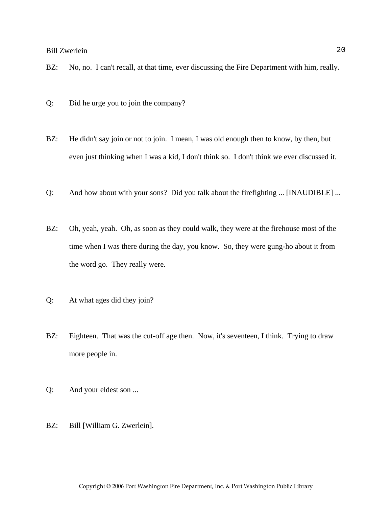- BZ: No, no. I can't recall, at that time, ever discussing the Fire Department with him, really.
- Q: Did he urge you to join the company?
- BZ: He didn't say join or not to join. I mean, I was old enough then to know, by then, but even just thinking when I was a kid, I don't think so. I don't think we ever discussed it.
- Q: And how about with your sons? Did you talk about the firefighting ... [INAUDIBLE] ...
- BZ: Oh, yeah, yeah. Oh, as soon as they could walk, they were at the firehouse most of the time when I was there during the day, you know. So, they were gung-ho about it from the word go. They really were.
- Q: At what ages did they join?
- BZ: Eighteen. That was the cut-off age then. Now, it's seventeen, I think. Trying to draw more people in.
- Q: And your eldest son ...
- BZ: Bill [William G. Zwerlein].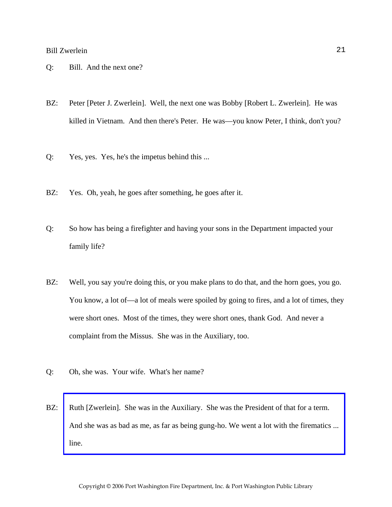- Q: Bill. And the next one?
- BZ: Peter [Peter J. Zwerlein]. Well, the next one was Bobby [Robert L. Zwerlein]. He was killed in Vietnam. And then there's Peter. He was—you know Peter, I think, don't you?
- Q: Yes, yes. Yes, he's the impetus behind this ...
- BZ: Yes. Oh, yeah, he goes after something, he goes after it.
- Q: So how has being a firefighter and having your sons in the Department impacted your family life?
- BZ: Well, you say you're doing this, or you make plans to do that, and the horn goes, you go. You know, a lot of—a lot of meals were spoiled by going to fires, and a lot of times, they were short ones. Most of the times, they were short ones, thank God. And never a complaint from the Missus. She was in the Auxiliary, too.
- Q: Oh, she was. Your wife. What's her name?
- BZ: Ruth [Zwerlein]. She was in the Auxiliary. She was the President of that for a term. [And she was as bad as me, as far as being gung-ho. We went a lot with the firematics ...](http://www.pwfdhistory.com/trans/zwerleinwc_trans/peco_parades008_web.jpg)  line.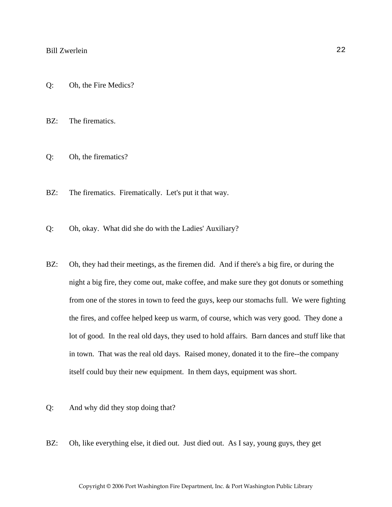- Q: Oh, the Fire Medics?
- BZ: The firematics.
- Q: Oh, the firematics?
- BZ: The firematics. Firematically. Let's put it that way.
- Q: Oh, okay. What did she do with the Ladies' Auxiliary?
- BZ: Oh, they had their meetings, as the firemen did. And if there's a big fire, or during the night a big fire, they come out, make coffee, and make sure they got donuts or something from one of the stores in town to feed the guys, keep our stomachs full. We were fighting the fires, and coffee helped keep us warm, of course, which was very good. They done a lot of good. In the real old days, they used to hold affairs. Barn dances and stuff like that in town. That was the real old days. Raised money, donated it to the fire--the company itself could buy their new equipment. In them days, equipment was short.
- Q: And why did they stop doing that?
- BZ: Oh, like everything else, it died out. Just died out. As I say, young guys, they get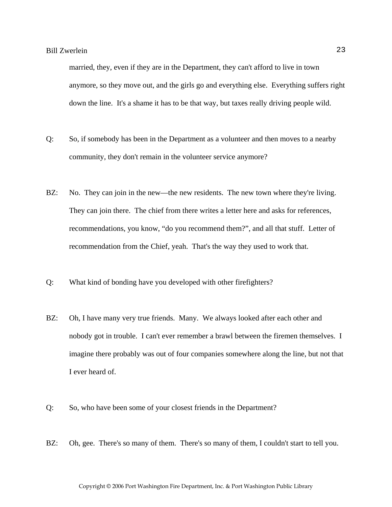married, they, even if they are in the Department, they can't afford to live in town anymore, so they move out, and the girls go and everything else. Everything suffers right down the line. It's a shame it has to be that way, but taxes really driving people wild.

- Q: So, if somebody has been in the Department as a volunteer and then moves to a nearby community, they don't remain in the volunteer service anymore?
- BZ: No. They can join in the new—the new residents. The new town where they're living. They can join there. The chief from there writes a letter here and asks for references, recommendations, you know, "do you recommend them?", and all that stuff. Letter of recommendation from the Chief, yeah. That's the way they used to work that.
- Q: What kind of bonding have you developed with other firefighters?
- BZ: Oh, I have many very true friends. Many. We always looked after each other and nobody got in trouble. I can't ever remember a brawl between the firemen themselves. I imagine there probably was out of four companies somewhere along the line, but not that I ever heard of.
- Q: So, who have been some of your closest friends in the Department?
- BZ: Oh, gee. There's so many of them. There's so many of them, I couldn't start to tell you.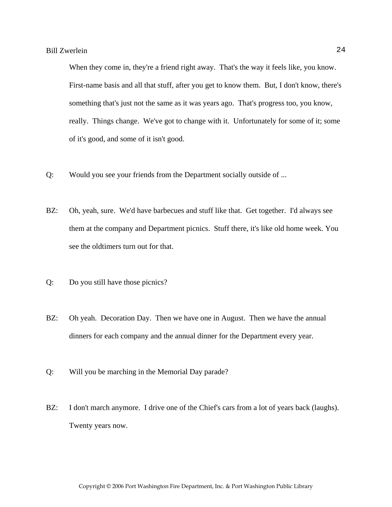When they come in, they're a friend right away. That's the way it feels like, you know. First-name basis and all that stuff, after you get to know them. But, I don't know, there's something that's just not the same as it was years ago. That's progress too, you know, really. Things change. We've got to change with it. Unfortunately for some of it; some of it's good, and some of it isn't good.

- Q: Would you see your friends from the Department socially outside of ...
- BZ: Oh, yeah, sure. We'd have barbecues and stuff like that. Get together. I'd always see them at the company and Department picnics. Stuff there, it's like old home week. You see the oldtimers turn out for that.
- Q: Do you still have those picnics?
- BZ: Oh yeah. Decoration Day. Then we have one in August. Then we have the annual dinners for each company and the annual dinner for the Department every year.
- Q: Will you be marching in the Memorial Day parade?
- BZ: I don't march anymore. I drive one of the Chief's cars from a lot of years back (laughs). Twenty years now.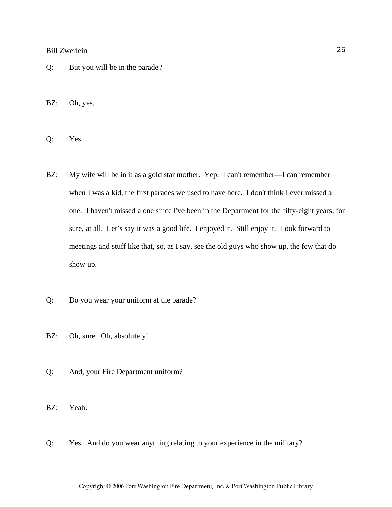Q: But you will be in the parade?

BZ: Oh, yes.

Q: Yes.

- BZ: My wife will be in it as a gold star mother. Yep. I can't remember—I can remember when I was a kid, the first parades we used to have here. I don't think I ever missed a one. I haven't missed a one since I've been in the Department for the fifty-eight years, for sure, at all. Let's say it was a good life. I enjoyed it. Still enjoy it. Look forward to meetings and stuff like that, so, as I say, see the old guys who show up, the few that do show up.
- Q: Do you wear your uniform at the parade?
- BZ: Oh, sure. Oh, absolutely!
- Q: And, your Fire Department uniform?

BZ: Yeah.

Q: Yes. And do you wear anything relating to your experience in the military?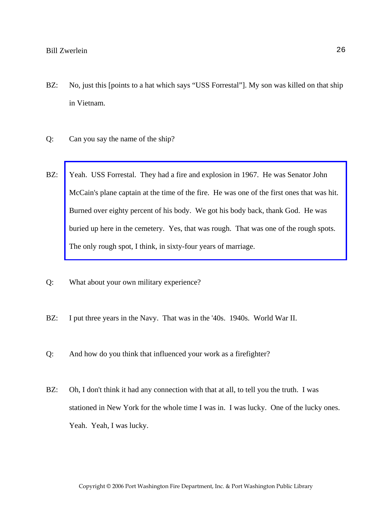- BZ: No, just this [points to a hat which says "USS Forrestal"]. My son was killed on that ship in Vietnam.
- Q: Can you say the name of the ship?
- BZ: Yeah. USS Forrestal. They had a fire and explosion in 1967. He was Senator John [McCain's plane captain at the time of the fire. He was one of the first ones that was hit.](http://www.pwfdhistory.com/trans/zwerleinwc_trans/pwrep670804_pz.pdf)  Burned over eighty percent of his body. We got his body back, thank God. He was buried up here in the cemetery. Yes, that was rough. That was one of the rough spots. The only rough spot, I think, in sixty-four years of marriage.
- Q: What about your own military experience?
- BZ: I put three years in the Navy. That was in the '40s. 1940s. World War II.
- Q: And how do you think that influenced your work as a firefighter?
- BZ: Oh, I don't think it had any connection with that at all, to tell you the truth. I was stationed in New York for the whole time I was in. I was lucky. One of the lucky ones. Yeah. Yeah, I was lucky.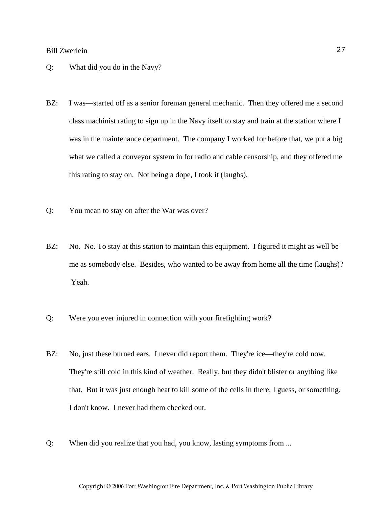#### Q: What did you do in the Navy?

- BZ: I was—started off as a senior foreman general mechanic. Then they offered me a second class machinist rating to sign up in the Navy itself to stay and train at the station where I was in the maintenance department. The company I worked for before that, we put a big what we called a conveyor system in for radio and cable censorship, and they offered me this rating to stay on. Not being a dope, I took it (laughs).
- Q: You mean to stay on after the War was over?
- BZ: No. No. To stay at this station to maintain this equipment. I figured it might as well be me as somebody else. Besides, who wanted to be away from home all the time (laughs)? Yeah.
- Q: Were you ever injured in connection with your firefighting work?
- BZ: No, just these burned ears. I never did report them. They're ice—they're cold now. They're still cold in this kind of weather. Really, but they didn't blister or anything like that. But it was just enough heat to kill some of the cells in there, I guess, or something. I don't know. I never had them checked out.
- Q: When did you realize that you had, you know, lasting symptoms from ...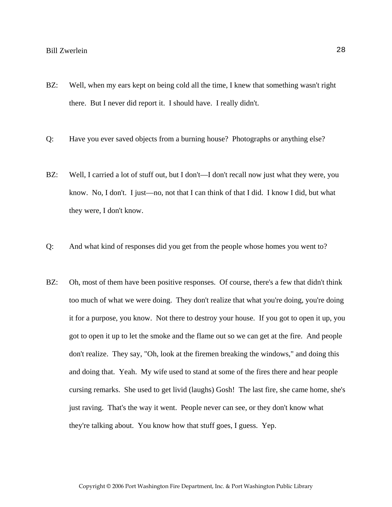- BZ: Well, when my ears kept on being cold all the time, I knew that something wasn't right there. But I never did report it. I should have. I really didn't.
- Q: Have you ever saved objects from a burning house? Photographs or anything else?
- BZ: Well, I carried a lot of stuff out, but I don't—I don't recall now just what they were, you know. No, I don't. I just—no, not that I can think of that I did. I know I did, but what they were, I don't know.
- Q: And what kind of responses did you get from the people whose homes you went to?
- BZ: Oh, most of them have been positive responses. Of course, there's a few that didn't think too much of what we were doing. They don't realize that what you're doing, you're doing it for a purpose, you know. Not there to destroy your house. If you got to open it up, you got to open it up to let the smoke and the flame out so we can get at the fire. And people don't realize. They say, "Oh, look at the firemen breaking the windows," and doing this and doing that. Yeah. My wife used to stand at some of the fires there and hear people cursing remarks. She used to get livid (laughs) Gosh! The last fire, she came home, she's just raving. That's the way it went. People never can see, or they don't know what they're talking about. You know how that stuff goes, I guess. Yep.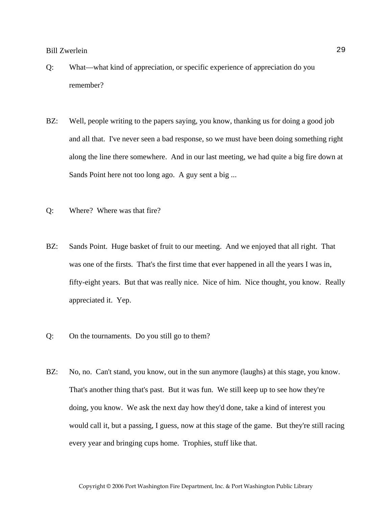- Q: What—what kind of appreciation, or specific experience of appreciation do you remember?
- BZ: Well, people writing to the papers saying, you know, thanking us for doing a good job and all that. I've never seen a bad response, so we must have been doing something right along the line there somewhere. And in our last meeting, we had quite a big fire down at Sands Point here not too long ago. A guy sent a big ...
- Q: Where? Where was that fire?
- BZ: Sands Point. Huge basket of fruit to our meeting. And we enjoyed that all right. That was one of the firsts. That's the first time that ever happened in all the years I was in, fifty-eight years. But that was really nice. Nice of him. Nice thought, you know. Really appreciated it. Yep.
- Q: On the tournaments. Do you still go to them?
- BZ: No, no. Can't stand, you know, out in the sun anymore (laughs) at this stage, you know. That's another thing that's past. But it was fun. We still keep up to see how they're doing, you know. We ask the next day how they'd done, take a kind of interest you would call it, but a passing, I guess, now at this stage of the game. But they're still racing every year and bringing cups home. Trophies, stuff like that.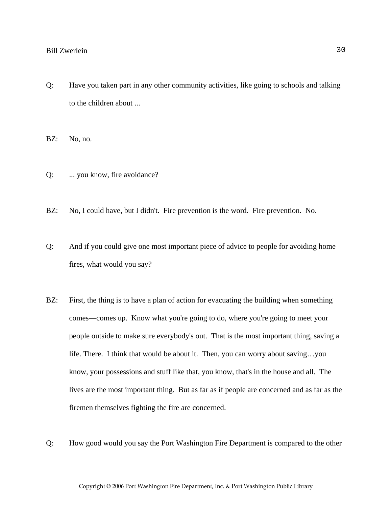Q: Have you taken part in any other community activities, like going to schools and talking to the children about ...

BZ: No, no.

- Q: ... you know, fire avoidance?
- BZ: No, I could have, but I didn't. Fire prevention is the word. Fire prevention. No.
- Q: And if you could give one most important piece of advice to people for avoiding home fires, what would you say?
- BZ: First, the thing is to have a plan of action for evacuating the building when something comes—comes up. Know what you're going to do, where you're going to meet your people outside to make sure everybody's out. That is the most important thing, saving a life. There. I think that would be about it. Then, you can worry about saving…you know, your possessions and stuff like that, you know, that's in the house and all. The lives are the most important thing. But as far as if people are concerned and as far as the firemen themselves fighting the fire are concerned.
- Q: How good would you say the Port Washington Fire Department is compared to the other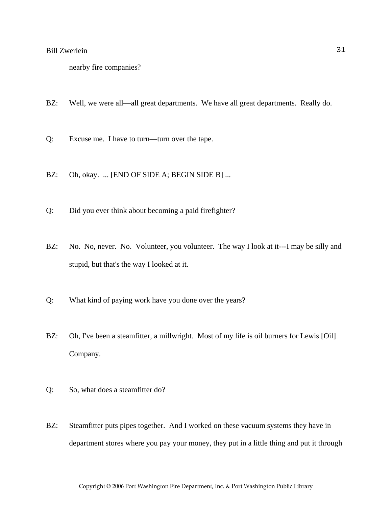```
nearby fire companies?
```
- BZ: Well, we were all—all great departments. We have all great departments. Really do.
- Q: Excuse me. I have to turn—turn over the tape.
- BZ: Oh, okay. ... [END OF SIDE A; BEGIN SIDE B] ...
- Q: Did you ever think about becoming a paid firefighter?
- BZ: No. No, never. No. Volunteer, you volunteer. The way I look at it---I may be silly and stupid, but that's the way I looked at it.
- Q: What kind of paying work have you done over the years?
- BZ: Oh, I've been a steamfitter, a millwright. Most of my life is oil burners for Lewis [Oil] Company.
- Q: So, what does a steamfitter do?
- BZ: Steamfitter puts pipes together. And I worked on these vacuum systems they have in department stores where you pay your money, they put in a little thing and put it through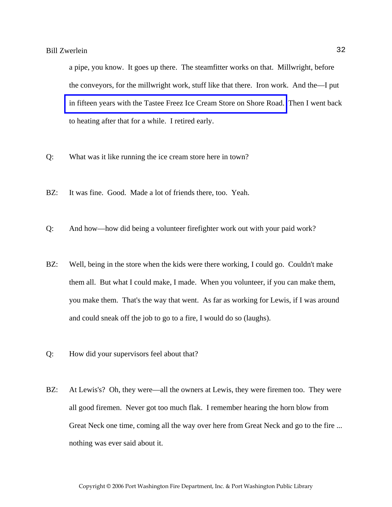a pipe, you know. It goes up there. The steamfitter works on that. Millwright, before the conveyors, for the millwright work, stuff like that there. Iron work. And the—I put [in fifteen years with the Tastee Freez Ice Cream Store on Shore Road.](http://www.pwfdhistory.com/trans/zwerleinwc_trans/tf.jpg) Then I went back to heating after that for a while. I retired early.

- Q: What was it like running the ice cream store here in town?
- BZ: It was fine. Good. Made a lot of friends there, too. Yeah.
- Q: And how—how did being a volunteer firefighter work out with your paid work?
- BZ: Well, being in the store when the kids were there working, I could go. Couldn't make them all. But what I could make, I made. When you volunteer, if you can make them, you make them. That's the way that went. As far as working for Lewis, if I was around and could sneak off the job to go to a fire, I would do so (laughs).
- Q: How did your supervisors feel about that?
- BZ: At Lewis's? Oh, they were—all the owners at Lewis, they were firemen too. They were all good firemen. Never got too much flak. I remember hearing the horn blow from Great Neck one time, coming all the way over here from Great Neck and go to the fire ... nothing was ever said about it.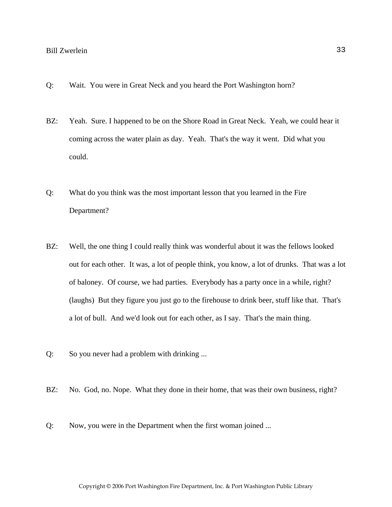- Q: Wait. You were in Great Neck and you heard the Port Washington horn?
- BZ: Yeah. Sure. I happened to be on the Shore Road in Great Neck. Yeah, we could hear it coming across the water plain as day. Yeah. That's the way it went. Did what you could.
- Q: What do you think was the most important lesson that you learned in the Fire Department?
- BZ: Well, the one thing I could really think was wonderful about it was the fellows looked out for each other. It was, a lot of people think, you know, a lot of drunks. That was a lot of baloney. Of course, we had parties. Everybody has a party once in a while, right? (laughs) But they figure you just go to the firehouse to drink beer, stuff like that. That's a lot of bull. And we'd look out for each other, as I say. That's the main thing.
- Q: So you never had a problem with drinking ...
- BZ: No. God, no. Nope. What they done in their home, that was their own business, right?
- Q: Now, you were in the Department when the first woman joined ...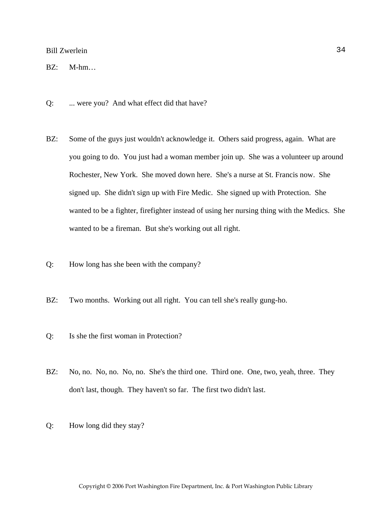BZ: M-hm…

- Q: ... were you? And what effect did that have?
- BZ: Some of the guys just wouldn't acknowledge it. Others said progress, again. What are you going to do. You just had a woman member join up. She was a volunteer up around Rochester, New York. She moved down here. She's a nurse at St. Francis now. She signed up. She didn't sign up with Fire Medic. She signed up with Protection. She wanted to be a fighter, firefighter instead of using her nursing thing with the Medics. She wanted to be a fireman. But she's working out all right.
- Q: How long has she been with the company?
- BZ: Two months. Working out all right. You can tell she's really gung-ho.
- Q: Is she the first woman in Protection?
- BZ: No, no. No, no. No, no. She's the third one. Third one. One, two, yeah, three. They don't last, though. They haven't so far. The first two didn't last.
- Q: How long did they stay?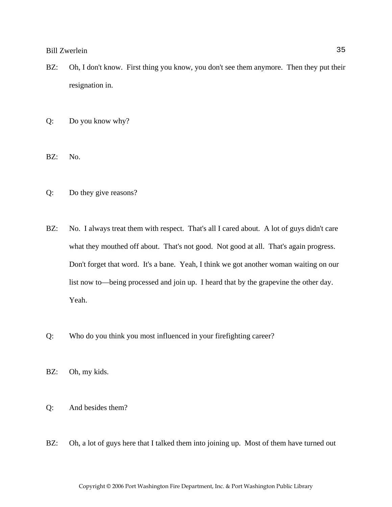- BZ: Oh, I don't know. First thing you know, you don't see them anymore. Then they put their resignation in.
- Q: Do you know why?
- BZ: No.
- Q: Do they give reasons?
- BZ: No. I always treat them with respect. That's all I cared about. A lot of guys didn't care what they mouthed off about. That's not good. Not good at all. That's again progress. Don't forget that word. It's a bane. Yeah, I think we got another woman waiting on our list now to—being processed and join up. I heard that by the grapevine the other day. Yeah.
- Q: Who do you think you most influenced in your firefighting career?
- BZ: Oh, my kids.
- Q: And besides them?
- BZ: Oh, a lot of guys here that I talked them into joining up. Most of them have turned out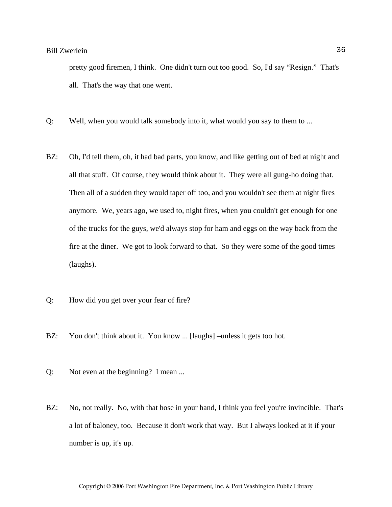pretty good firemen, I think. One didn't turn out too good. So, I'd say "Resign." That's all. That's the way that one went.

- Q: Well, when you would talk somebody into it, what would you say to them to ...
- BZ: Oh, I'd tell them, oh, it had bad parts, you know, and like getting out of bed at night and all that stuff. Of course, they would think about it. They were all gung-ho doing that. Then all of a sudden they would taper off too, and you wouldn't see them at night fires anymore. We, years ago, we used to, night fires, when you couldn't get enough for one of the trucks for the guys, we'd always stop for ham and eggs on the way back from the fire at the diner. We got to look forward to that. So they were some of the good times (laughs).
- Q: How did you get over your fear of fire?
- BZ: You don't think about it. You know ... [laughs] –unless it gets too hot.
- Q: Not even at the beginning? I mean ...
- BZ: No, not really. No, with that hose in your hand, I think you feel you're invincible. That's a lot of baloney, too. Because it don't work that way. But I always looked at it if your number is up, it's up.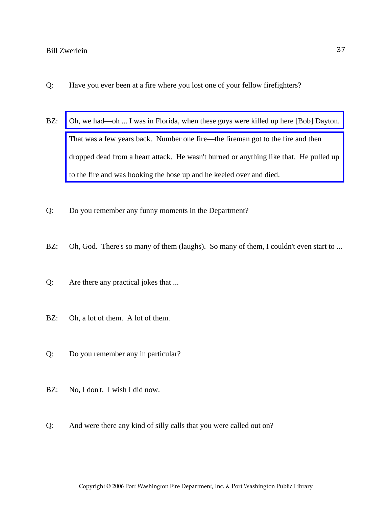- Q: Have you ever been at a fire where you lost one of your fellow firefighters?
- BZ: Oh, we had—oh ... I was in Florida, when these guys were killed up here [Bob] Dayton. That was a few years back. Number one fire—the fireman got to the fire and then [dropped dead from a heart attack. He wasn't burned or anything like that. He pulled up](http://www.pwfdhistory.com/trans/zwerleinwc_trans/news_smith_1947_doyle.pdf)  to the fire and was hooking the hose up and he keeled over and died.
- Q: Do you remember any funny moments in the Department?
- BZ: Oh, God. There's so many of them (laughs). So many of them, I couldn't even start to ...
- Q: Are there any practical jokes that ...
- BZ: Oh, a lot of them. A lot of them.
- Q: Do you remember any in particular?
- BZ: No, I don't. I wish I did now.
- Q: And were there any kind of silly calls that you were called out on?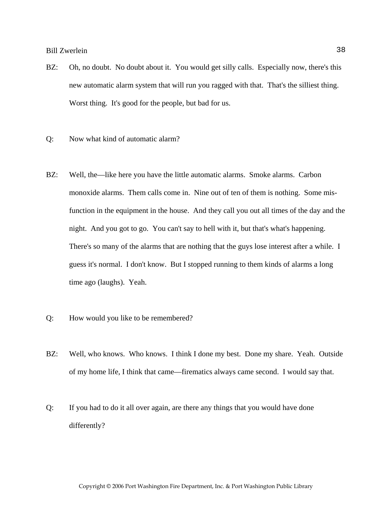- BZ: Oh, no doubt. No doubt about it. You would get silly calls. Especially now, there's this new automatic alarm system that will run you ragged with that. That's the silliest thing. Worst thing. It's good for the people, but bad for us.
- Q: Now what kind of automatic alarm?
- BZ: Well, the—like here you have the little automatic alarms. Smoke alarms. Carbon monoxide alarms. Them calls come in. Nine out of ten of them is nothing. Some misfunction in the equipment in the house. And they call you out all times of the day and the night. And you got to go. You can't say to hell with it, but that's what's happening. There's so many of the alarms that are nothing that the guys lose interest after a while. I guess it's normal. I don't know. But I stopped running to them kinds of alarms a long time ago (laughs). Yeah.
- Q: How would you like to be remembered?
- BZ: Well, who knows. Who knows. I think I done my best. Done my share. Yeah. Outside of my home life, I think that came—firematics always came second. I would say that.
- Q: If you had to do it all over again, are there any things that you would have done differently?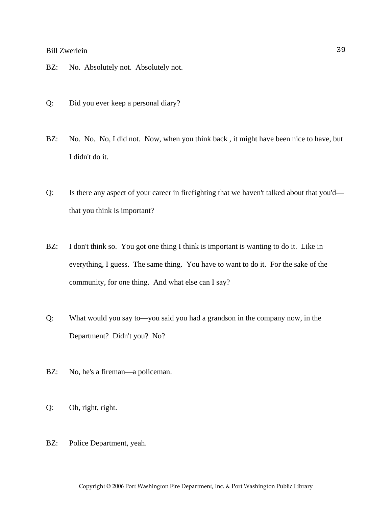- BZ: No. Absolutely not. Absolutely not.
- Q: Did you ever keep a personal diary?
- BZ: No. No. No, I did not. Now, when you think back, it might have been nice to have, but I didn't do it.
- Q: Is there any aspect of your career in firefighting that we haven't talked about that you'd that you think is important?
- BZ: I don't think so. You got one thing I think is important is wanting to do it. Like in everything, I guess. The same thing. You have to want to do it. For the sake of the community, for one thing. And what else can I say?
- Q: What would you say to—you said you had a grandson in the company now, in the Department? Didn't you? No?
- BZ: No, he's a fireman—a policeman.
- Q: Oh, right, right.
- BZ: Police Department, yeah.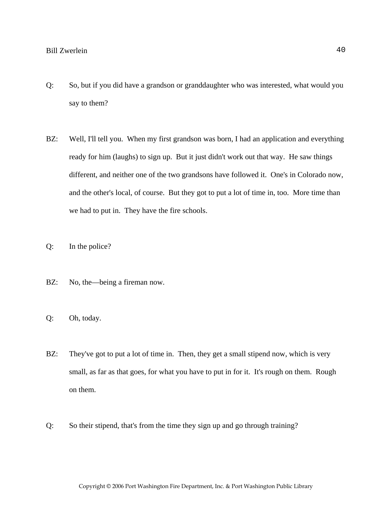- Q: So, but if you did have a grandson or granddaughter who was interested, what would you say to them?
- BZ: Well, I'll tell you. When my first grandson was born, I had an application and everything ready for him (laughs) to sign up. But it just didn't work out that way. He saw things different, and neither one of the two grandsons have followed it. One's in Colorado now, and the other's local, of course. But they got to put a lot of time in, too. More time than we had to put in. They have the fire schools.
- Q: In the police?
- BZ: No, the—being a fireman now.
- Q: Oh, today.
- BZ: They've got to put a lot of time in. Then, they get a small stipend now, which is very small, as far as that goes, for what you have to put in for it. It's rough on them. Rough on them.
- Q: So their stipend, that's from the time they sign up and go through training?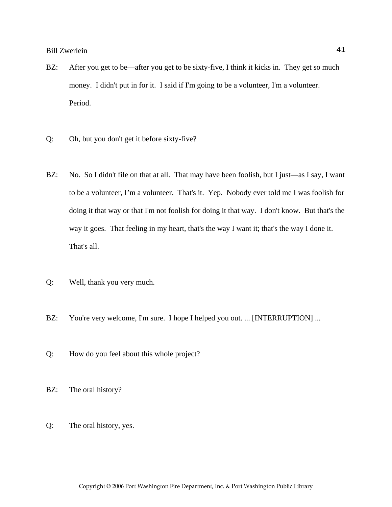- BZ: After you get to be—after you get to be sixty-five, I think it kicks in. They get so much money. I didn't put in for it. I said if I'm going to be a volunteer, I'm a volunteer. Period.
- Q: Oh, but you don't get it before sixty-five?
- BZ: No. So I didn't file on that at all. That may have been foolish, but I just—as I say, I want to be a volunteer, I'm a volunteer. That's it. Yep. Nobody ever told me I was foolish for doing it that way or that I'm not foolish for doing it that way. I don't know. But that's the way it goes. That feeling in my heart, that's the way I want it; that's the way I done it. That's all.
- Q: Well, thank you very much.
- BZ: You're very welcome, I'm sure. I hope I helped you out. ... [INTERRUPTION] ...
- Q: How do you feel about this whole project?
- BZ: The oral history?
- Q: The oral history, yes.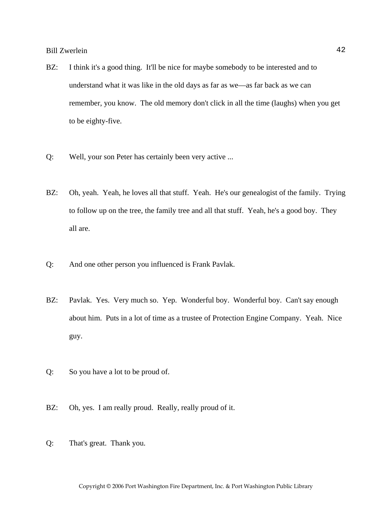- BZ: I think it's a good thing. It'll be nice for maybe somebody to be interested and to understand what it was like in the old days as far as we—as far back as we can remember, you know. The old memory don't click in all the time (laughs) when you get to be eighty-five.
- Q: Well, your son Peter has certainly been very active ...
- BZ: Oh, yeah. Yeah, he loves all that stuff. Yeah. He's our genealogist of the family. Trying to follow up on the tree, the family tree and all that stuff. Yeah, he's a good boy. They all are.
- Q: And one other person you influenced is Frank Pavlak.
- BZ: Pavlak. Yes. Very much so. Yep. Wonderful boy. Wonderful boy. Can't say enough about him. Puts in a lot of time as a trustee of Protection Engine Company. Yeah. Nice guy.
- Q: So you have a lot to be proud of.
- BZ: Oh, yes. I am really proud. Really, really proud of it.
- Q: That's great. Thank you.